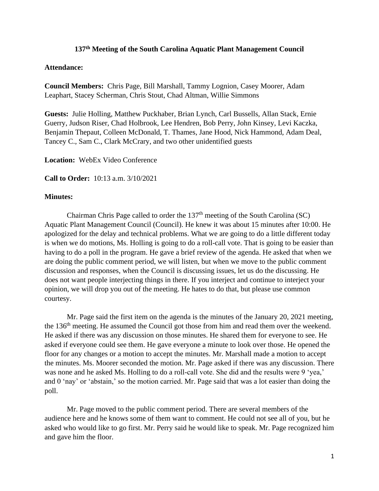## **137 th Meeting of the South Carolina Aquatic Plant Management Council**

## **Attendance:**

**Council Members:** Chris Page, Bill Marshall, Tammy Lognion, Casey Moorer, Adam Leaphart, Stacey Scherman, Chris Stout, Chad Altman, Willie Simmons

**Guests:** Julie Holling, Matthew Puckhaber, Brian Lynch, Carl Bussells, Allan Stack, Ernie Guerry, Judson Riser, Chad Holbrook, Lee Hendren, Bob Perry, John Kinsey, Levi Kaczka, Benjamin Thepaut, Colleen McDonald, T. Thames, Jane Hood, Nick Hammond, Adam Deal, Tancey C., Sam C., Clark McCrary, and two other unidentified guests

**Location:** WebEx Video Conference

**Call to Order:** 10:13 a.m. 3/10/2021

## **Minutes:**

Chairman Chris Page called to order the 137<sup>th</sup> meeting of the South Carolina (SC) Aquatic Plant Management Council (Council). He knew it was about 15 minutes after 10:00. He apologized for the delay and technical problems. What we are going to do a little different today is when we do motions, Ms. Holling is going to do a roll-call vote. That is going to be easier than having to do a poll in the program. He gave a brief review of the agenda. He asked that when we are doing the public comment period, we will listen, but when we move to the public comment discussion and responses, when the Council is discussing issues, let us do the discussing. He does not want people interjecting things in there. If you interject and continue to interject your opinion, we will drop you out of the meeting. He hates to do that, but please use common courtesy.

Mr. Page said the first item on the agenda is the minutes of the January 20, 2021 meeting, the 136th meeting. He assumed the Council got those from him and read them over the weekend. He asked if there was any discussion on those minutes. He shared them for everyone to see. He asked if everyone could see them. He gave everyone a minute to look over those. He opened the floor for any changes or a motion to accept the minutes. Mr. Marshall made a motion to accept the minutes. Ms. Moorer seconded the motion. Mr. Page asked if there was any discussion. There was none and he asked Ms. Holling to do a roll-call vote. She did and the results were 9 'yea,' and 0 'nay' or 'abstain,' so the motion carried. Mr. Page said that was a lot easier than doing the poll.

Mr. Page moved to the public comment period. There are several members of the audience here and he knows some of them want to comment. He could not see all of you, but he asked who would like to go first. Mr. Perry said he would like to speak. Mr. Page recognized him and gave him the floor.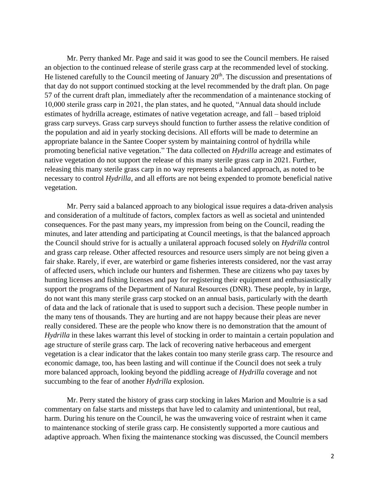Mr. Perry thanked Mr. Page and said it was good to see the Council members. He raised an objection to the continued release of sterile grass carp at the recommended level of stocking. He listened carefully to the Council meeting of January  $20<sup>th</sup>$ . The discussion and presentations of that day do not support continued stocking at the level recommended by the draft plan. On page 57 of the current draft plan, immediately after the recommendation of a maintenance stocking of 10,000 sterile grass carp in 2021, the plan states, and he quoted, "Annual data should include estimates of hydrilla acreage, estimates of native vegetation acreage, and fall – based triploid grass carp surveys. Grass carp surveys should function to further assess the relative condition of the population and aid in yearly stocking decisions. All efforts will be made to determine an appropriate balance in the Santee Cooper system by maintaining control of hydrilla while promoting beneficial native vegetation." The data collected on *Hydrilla* acreage and estimates of native vegetation do not support the release of this many sterile grass carp in 2021. Further, releasing this many sterile grass carp in no way represents a balanced approach, as noted to be necessary to control *Hydrilla*, and all efforts are not being expended to promote beneficial native vegetation.

Mr. Perry said a balanced approach to any biological issue requires a data-driven analysis and consideration of a multitude of factors, complex factors as well as societal and unintended consequences. For the past many years, my impression from being on the Council, reading the minutes, and later attending and participating at Council meetings, is that the balanced approach the Council should strive for is actually a unilateral approach focused solely on *Hydrilla* control and grass carp release. Other affected resources and resource users simply are not being given a fair shake. Rarely, if ever, are waterbird or game fisheries interests considered, nor the vast array of affected users, which include our hunters and fishermen. These are citizens who pay taxes by hunting licenses and fishing licenses and pay for registering their equipment and enthusiastically support the programs of the Department of Natural Resources (DNR). These people, by in large, do not want this many sterile grass carp stocked on an annual basis, particularly with the dearth of data and the lack of rationale that is used to support such a decision. These people number in the many tens of thousands. They are hurting and are not happy because their pleas are never really considered. These are the people who know there is no demonstration that the amount of *Hydrilla* in these lakes warrant this level of stocking in order to maintain a certain population and age structure of sterile grass carp. The lack of recovering native herbaceous and emergent vegetation is a clear indicator that the lakes contain too many sterile grass carp. The resource and economic damage, too, has been lasting and will continue if the Council does not seek a truly more balanced approach, looking beyond the piddling acreage of *Hydrilla* coverage and not succumbing to the fear of another *Hydrilla* explosion.

Mr. Perry stated the history of grass carp stocking in lakes Marion and Moultrie is a sad commentary on false starts and missteps that have led to calamity and unintentional, but real, harm. During his tenure on the Council, he was the unwavering voice of restraint when it came to maintenance stocking of sterile grass carp. He consistently supported a more cautious and adaptive approach. When fixing the maintenance stocking was discussed, the Council members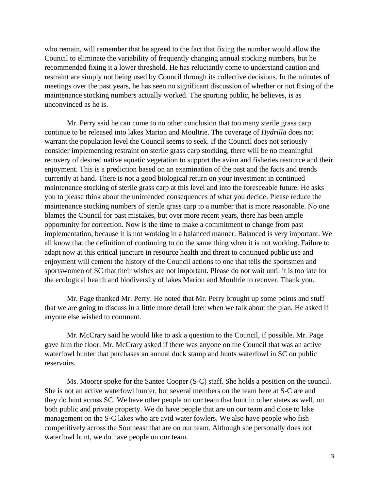who remain, will remember that he agreed to the fact that fixing the number would allow the Council to eliminate the variability of frequently changing annual stocking numbers, but he recommended fixing it a lower threshold. He has reluctantly come to understand caution and restraint are simply not being used by Council through its collective decisions. In the minutes of meetings over the past years, he has seen no significant discussion of whether or not fixing of the maintenance stocking numbers actually worked. The sporting public, he believes, is as unconvinced as he is.

Mr. Perry said he can come to no other conclusion that too many sterile grass carp continue to be released into lakes Marion and Moultrie. The coverage of *Hydrilla* does not warrant the population level the Council seems to seek. If the Council does not seriously consider implementing restraint on sterile grass carp stocking, there will be no meaningful recovery of desired native aquatic vegetation to support the avian and fisheries resource and their enjoyment. This is a prediction based on an examination of the past and the facts and trends currently at hand. There is not a good biological return on your investment in continued maintenance stocking of sterile grass carp at this level and into the foreseeable future. He asks you to please think about the unintended consequences of what you decide. Please reduce the maintenance stocking numbers of sterile grass carp to a number that is more reasonable. No one blames the Council for past mistakes, but over more recent years, there has been ample opportunity for correction. Now is the time to make a commitment to change from past implementation, because it is not working in a balanced manner. Balanced is very important. We all know that the definition of continuing to do the same thing when it is not working. Failure to adapt now at this critical juncture in resource health and threat to continued public use and enjoyment will cement the history of the Council actions to one that tells the sportsmen and sportswomen of SC that their wishes are not important. Please do not wait until it is too late for the ecological health and biodiversity of lakes Marion and Moultrie to recover. Thank you.

Mr. Page thanked Mr. Perry. He noted that Mr. Perry brought up some points and stuff that we are going to discuss in a little more detail later when we talk about the plan. He asked if anyone else wished to comment.

Mr. McCrary said he would like to ask a question to the Council, if possible. Mr. Page gave him the floor. Mr. McCrary asked if there was anyone on the Council that was an active waterfowl hunter that purchases an annual duck stamp and hunts waterfowl in SC on public reservoirs.

Ms. Moorer spoke for the Santee Cooper (S-C) staff. She holds a position on the council. She is not an active waterfowl hunter, but several members on the team here at S-C are and they do hunt across SC. We have other people on our team that hunt in other states as well, on both public and private property. We do have people that are on our team and close to lake management on the S-C lakes who are avid water fowlers. We also have people who fish competitively across the Southeast that are on our team. Although she personally does not waterfowl hunt, we do have people on our team.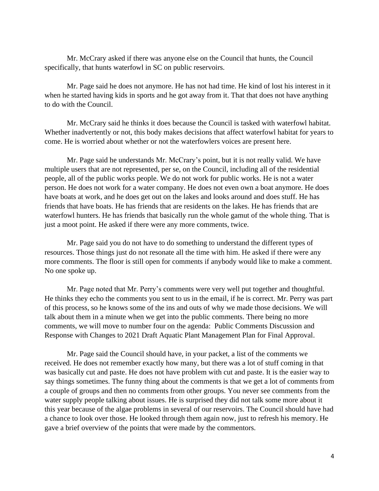Mr. McCrary asked if there was anyone else on the Council that hunts, the Council specifically, that hunts waterfowl in SC on public reservoirs.

Mr. Page said he does not anymore. He has not had time. He kind of lost his interest in it when he started having kids in sports and he got away from it. That that does not have anything to do with the Council.

Mr. McCrary said he thinks it does because the Council is tasked with waterfowl habitat. Whether inadvertently or not, this body makes decisions that affect waterfowl habitat for years to come. He is worried about whether or not the waterfowlers voices are present here.

Mr. Page said he understands Mr. McCrary's point, but it is not really valid. We have multiple users that are not represented, per se, on the Council, including all of the residential people, all of the public works people. We do not work for public works. He is not a water person. He does not work for a water company. He does not even own a boat anymore. He does have boats at work, and he does get out on the lakes and looks around and does stuff. He has friends that have boats. He has friends that are residents on the lakes. He has friends that are waterfowl hunters. He has friends that basically run the whole gamut of the whole thing. That is just a moot point. He asked if there were any more comments, twice.

Mr. Page said you do not have to do something to understand the different types of resources. Those things just do not resonate all the time with him. He asked if there were any more comments. The floor is still open for comments if anybody would like to make a comment. No one spoke up.

Mr. Page noted that Mr. Perry's comments were very well put together and thoughtful. He thinks they echo the comments you sent to us in the email, if he is correct. Mr. Perry was part of this process, so he knows some of the ins and outs of why we made those decisions. We will talk about them in a minute when we get into the public comments. There being no more comments, we will move to number four on the agenda: Public Comments Discussion and Response with Changes to 2021 Draft Aquatic Plant Management Plan for Final Approval.

Mr. Page said the Council should have, in your packet, a list of the comments we received. He does not remember exactly how many, but there was a lot of stuff coming in that was basically cut and paste. He does not have problem with cut and paste. It is the easier way to say things sometimes. The funny thing about the comments is that we get a lot of comments from a couple of groups and then no comments from other groups. You never see comments from the water supply people talking about issues. He is surprised they did not talk some more about it this year because of the algae problems in several of our reservoirs. The Council should have had a chance to look over those. He looked through them again now, just to refresh his memory. He gave a brief overview of the points that were made by the commentors.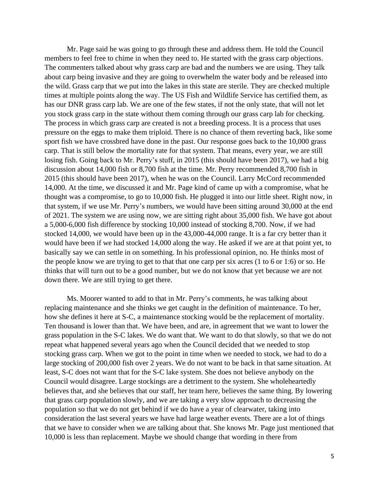Mr. Page said he was going to go through these and address them. He told the Council members to feel free to chime in when they need to. He started with the grass carp objections. The commenters talked about why grass carp are bad and the numbers we are using. They talk about carp being invasive and they are going to overwhelm the water body and be released into the wild. Grass carp that we put into the lakes in this state are sterile. They are checked multiple times at multiple points along the way. The US Fish and Wildlife Service has certified them, as has our DNR grass carp lab. We are one of the few states, if not the only state, that will not let you stock grass carp in the state without them coming through our grass carp lab for checking. The process in which grass carp are created is not a breeding process. It is a process that uses pressure on the eggs to make them triploid. There is no chance of them reverting back, like some sport fish we have crossbred have done in the past. Our response goes back to the 10,000 grass carp. That is still below the mortality rate for that system. That means, every year, we are still losing fish. Going back to Mr. Perry's stuff, in 2015 (this should have been 2017), we had a big discussion about 14,000 fish or 8,700 fish at the time. Mr. Perry recommended 8,700 fish in 2015 (this should have been 2017), when he was on the Council. Larry McCord recommended 14,000. At the time, we discussed it and Mr. Page kind of came up with a compromise, what he thought was a compromise, to go to 10,000 fish. He plugged it into our little sheet. Right now, in that system, if we use Mr. Perry's numbers, we would have been sitting around 30,000 at the end of 2021. The system we are using now, we are sitting right about 35,000 fish. We have got about a 5,000-6,000 fish difference by stocking 10,000 instead of stocking 8,700. Now, if we had stocked 14,000, we would have been up in the 43,000-44,000 range. It is a far cry better than it would have been if we had stocked 14,000 along the way. He asked if we are at that point yet, to basically say we can settle in on something. In his professional opinion, no. He thinks most of the people know we are trying to get to that that one carp per six acres (1 to 6 or 1:6) or so. He thinks that will turn out to be a good number, but we do not know that yet because we are not down there. We are still trying to get there.

Ms. Moorer wanted to add to that in Mr. Perry's comments, he was talking about replacing maintenance and she thinks we get caught in the definition of maintenance. To her, how she defines it here at S-C, a maintenance stocking would be the replacement of mortality. Ten thousand is lower than that. We have been, and are, in agreement that we want to lower the grass population in the S-C lakes. We do want that. We want to do that slowly, so that we do not repeat what happened several years ago when the Council decided that we needed to stop stocking grass carp. When we got to the point in time when we needed to stock, we had to do a large stocking of 200,000 fish over 2 years. We do not want to be back in that same situation. At least, S-C does not want that for the S-C lake system. She does not believe anybody on the Council would disagree. Large stockings are a detriment to the system. She wholeheartedly believes that, and she believes that our staff, her team here, believes the same thing. By lowering that grass carp population slowly, and we are taking a very slow approach to decreasing the population so that we do not get behind if we do have a year of clearwater, taking into consideration the last several years we have had large weather events. There are a lot of things that we have to consider when we are talking about that. She knows Mr. Page just mentioned that 10,000 is less than replacement. Maybe we should change that wording in there from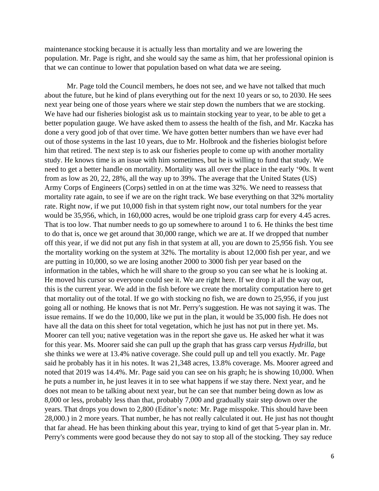maintenance stocking because it is actually less than mortality and we are lowering the population. Mr. Page is right, and she would say the same as him, that her professional opinion is that we can continue to lower that population based on what data we are seeing.

Mr. Page told the Council members, he does not see, and we have not talked that much about the future, but he kind of plans everything out for the next 10 years or so, to 2030. He sees next year being one of those years where we stair step down the numbers that we are stocking. We have had our fisheries biologist ask us to maintain stocking year to year, to be able to get a better population gauge. We have asked them to assess the health of the fish, and Mr. Kaczka has done a very good job of that over time. We have gotten better numbers than we have ever had out of those systems in the last 10 years, due to Mr. Holbrook and the fisheries biologist before him that retired. The next step is to ask our fisheries people to come up with another mortality study. He knows time is an issue with him sometimes, but he is willing to fund that study. We need to get a better handle on mortality. Mortality was all over the place in the early '90s. It went from as low as 20, 22, 28%, all the way up to 39%. The average that the United States (US) Army Corps of Engineers (Corps) settled in on at the time was 32%. We need to reassess that mortality rate again, to see if we are on the right track. We base everything on that 32% mortality rate. Right now, if we put 10,000 fish in that system right now, our total numbers for the year would be 35,956, which, in 160,000 acres, would be one triploid grass carp for every 4.45 acres. That is too low. That number needs to go up somewhere to around 1 to 6. He thinks the best time to do that is, once we get around that 30,000 range, which we are at. If we dropped that number off this year, if we did not put any fish in that system at all, you are down to 25,956 fish. You see the mortality working on the system at 32%. The mortality is about 12,000 fish per year, and we are putting in 10,000, so we are losing another 2000 to 3000 fish per year based on the information in the tables, which he will share to the group so you can see what he is looking at. He moved his cursor so everyone could see it. We are right here. If we drop it all the way out, this is the current year. We add in the fish before we create the mortality computation here to get that mortality out of the total. If we go with stocking no fish, we are down to 25,956, if you just going all or nothing. He knows that is not Mr. Perry's suggestion. He was not saying it was. The issue remains. If we do the 10,000, like we put in the plan, it would be 35,000 fish. He does not have all the data on this sheet for total vegetation, which he just has not put in there yet. Ms. Moorer can tell you; native vegetation was in the report she gave us. He asked her what it was for this year. Ms. Moorer said she can pull up the graph that has grass carp versus *Hydrilla*, but she thinks we were at 13.4% native coverage. She could pull up and tell you exactly. Mr. Page said he probably has it in his notes. It was 21,348 acres, 13.8% coverage. Ms. Moorer agreed and noted that 2019 was 14.4%. Mr. Page said you can see on his graph; he is showing 10,000. When he puts a number in, he just leaves it in to see what happens if we stay there. Next year, and he does not mean to be talking about next year, but he can see that number being down as low as 8,000 or less, probably less than that, probably 7,000 and gradually stair step down over the years. That drops you down to 2,800 (Editor's note: Mr. Page misspoke. This should have been 28,000.) in 2 more years. That number, he has not really calculated it out. He just has not thought that far ahead. He has been thinking about this year, trying to kind of get that 5-year plan in. Mr. Perry's comments were good because they do not say to stop all of the stocking. They say reduce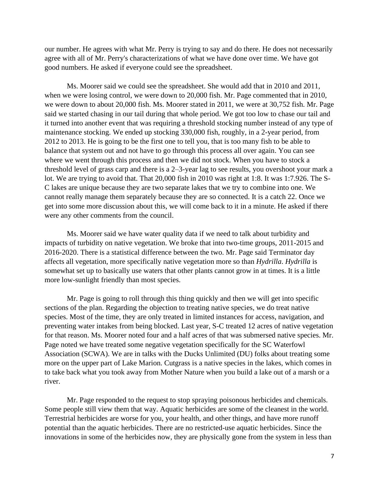our number. He agrees with what Mr. Perry is trying to say and do there. He does not necessarily agree with all of Mr. Perry's characterizations of what we have done over time. We have got good numbers. He asked if everyone could see the spreadsheet.

Ms. Moorer said we could see the spreadsheet. She would add that in 2010 and 2011, when we were losing control, we were down to 20,000 fish. Mr. Page commented that in 2010, we were down to about 20,000 fish. Ms. Moorer stated in 2011, we were at 30,752 fish. Mr. Page said we started chasing in our tail during that whole period. We got too low to chase our tail and it turned into another event that was requiring a threshold stocking number instead of any type of maintenance stocking. We ended up stocking 330,000 fish, roughly, in a 2-year period, from 2012 to 2013. He is going to be the first one to tell you, that is too many fish to be able to balance that system out and not have to go through this process all over again. You can see where we went through this process and then we did not stock. When you have to stock a threshold level of grass carp and there is a 2–3-year lag to see results, you overshoot your mark a lot. We are trying to avoid that. That 20,000 fish in 2010 was right at 1:8. It was 1:7.926. The S-C lakes are unique because they are two separate lakes that we try to combine into one. We cannot really manage them separately because they are so connected. It is a catch 22. Once we get into some more discussion about this, we will come back to it in a minute. He asked if there were any other comments from the council.

Ms. Moorer said we have water quality data if we need to talk about turbidity and impacts of turbidity on native vegetation. We broke that into two-time groups, 2011-2015 and 2016-2020. There is a statistical difference between the two. Mr. Page said Terminator day affects all vegetation, more specifically native vegetation more so than *Hydrilla*. *Hydrilla* is somewhat set up to basically use waters that other plants cannot grow in at times. It is a little more low-sunlight friendly than most species.

Mr. Page is going to roll through this thing quickly and then we will get into specific sections of the plan. Regarding the objection to treating native species, we do treat native species. Most of the time, they are only treated in limited instances for access, navigation, and preventing water intakes from being blocked. Last year, S-C treated 12 acres of native vegetation for that reason. Ms. Moorer noted four and a half acres of that was submersed native species. Mr. Page noted we have treated some negative vegetation specifically for the SC Waterfowl Association (SCWA). We are in talks with the Ducks Unlimited (DU) folks about treating some more on the upper part of Lake Marion. Cutgrass is a native species in the lakes, which comes in to take back what you took away from Mother Nature when you build a lake out of a marsh or a river.

Mr. Page responded to the request to stop spraying poisonous herbicides and chemicals. Some people still view them that way. Aquatic herbicides are some of the cleanest in the world. Terrestrial herbicides are worse for you, your health, and other things, and have more runoff potential than the aquatic herbicides. There are no restricted-use aquatic herbicides. Since the innovations in some of the herbicides now, they are physically gone from the system in less than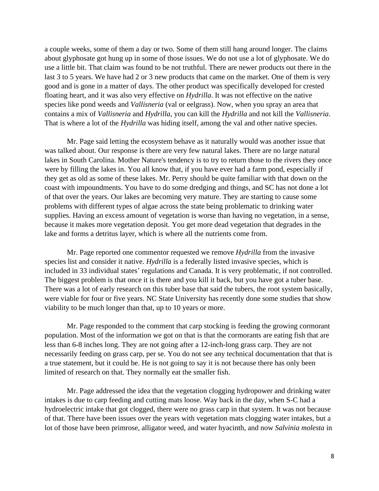a couple weeks, some of them a day or two. Some of them still hang around longer. The claims about glyphosate got hung up in some of those issues. We do not use a lot of glyphosate. We do use a little bit. That claim was found to be not truthful. There are newer products out there in the last 3 to 5 years. We have had 2 or 3 new products that came on the market. One of them is very good and is gone in a matter of days. The other product was specifically developed for crested floating heart, and it was also very effective on *Hydrilla*. It was not effective on the native species like pond weeds and *Vallisneria* (val or eelgrass). Now, when you spray an area that contains a mix of *Vallisneria* and *Hydrilla*, you can kill the *Hydrilla* and not kill the *Vallisneria*. That is where a lot of the *Hydrilla* was hiding itself, among the val and other native species.

Mr. Page said letting the ecosystem behave as it naturally would was another issue that was talked about. Our response is there are very few natural lakes. There are no large natural lakes in South Carolina. Mother Nature's tendency is to try to return those to the rivers they once were by filling the lakes in. You all know that, if you have ever had a farm pond, especially if they get as old as some of these lakes. Mr. Perry should be quite familiar with that down on the coast with impoundments. You have to do some dredging and things, and SC has not done a lot of that over the years. Our lakes are becoming very mature. They are starting to cause some problems with different types of algae across the state being problematic to drinking water supplies. Having an excess amount of vegetation is worse than having no vegetation, in a sense, because it makes more vegetation deposit. You get more dead vegetation that degrades in the lake and forms a detritus layer, which is where all the nutrients come from.

Mr. Page reported one commentor requested we remove *Hydrilla* from the invasive species list and consider it native. *Hydrilla* is a federally listed invasive species, which is included in 33 individual states' regulations and Canada. It is very problematic, if not controlled. The biggest problem is that once it is there and you kill it back, but you have got a tuber base. There was a lot of early research on this tuber base that said the tubers, the root system basically, were viable for four or five years. NC State University has recently done some studies that show viability to be much longer than that, up to 10 years or more.

Mr. Page responded to the comment that carp stocking is feeding the growing cormorant population. Most of the information we got on that is that the cormorants are eating fish that are less than 6-8 inches long. They are not going after a 12-inch-long grass carp. They are not necessarily feeding on grass carp, per se. You do not see any technical documentation that that is a true statement, but it could be. He is not going to say it is not because there has only been limited of research on that. They normally eat the smaller fish.

Mr. Page addressed the idea that the vegetation clogging hydropower and drinking water intakes is due to carp feeding and cutting mats loose. Way back in the day, when S-C had a hydroelectric intake that got clogged, there were no grass carp in that system. It was not because of that. There have been issues over the years with vegetation mats clogging water intakes, but a lot of those have been primrose, alligator weed, and water hyacinth, and now *Salvinia molesta* in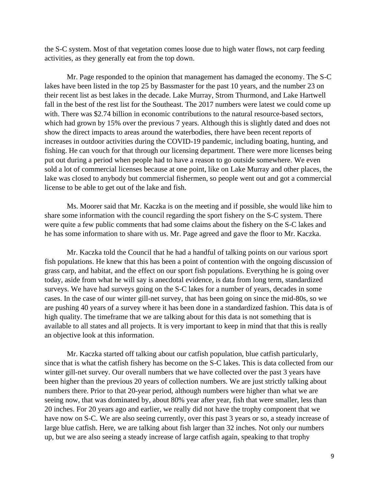the S-C system. Most of that vegetation comes loose due to high water flows, not carp feeding activities, as they generally eat from the top down.

Mr. Page responded to the opinion that management has damaged the economy. The S-C lakes have been listed in the top 25 by Bassmaster for the past 10 years, and the number 23 on their recent list as best lakes in the decade. Lake Murray, Strom Thurmond, and Lake Hartwell fall in the best of the rest list for the Southeast. The 2017 numbers were latest we could come up with. There was \$2.74 billion in economic contributions to the natural resource-based sectors, which had grown by 15% over the previous 7 years. Although this is slightly dated and does not show the direct impacts to areas around the waterbodies, there have been recent reports of increases in outdoor activities during the COVID-19 pandemic, including boating, hunting, and fishing. He can vouch for that through our licensing department. There were more licenses being put out during a period when people had to have a reason to go outside somewhere. We even sold a lot of commercial licenses because at one point, like on Lake Murray and other places, the lake was closed to anybody but commercial fishermen, so people went out and got a commercial license to be able to get out of the lake and fish.

Ms. Moorer said that Mr. Kaczka is on the meeting and if possible, she would like him to share some information with the council regarding the sport fishery on the S-C system. There were quite a few public comments that had some claims about the fishery on the S-C lakes and he has some information to share with us. Mr. Page agreed and gave the floor to Mr. Kaczka.

Mr. Kaczka told the Council that he had a handful of talking points on our various sport fish populations. He knew that this has been a point of contention with the ongoing discussion of grass carp, and habitat, and the effect on our sport fish populations. Everything he is going over today, aside from what he will say is anecdotal evidence, is data from long term, standardized surveys. We have had surveys going on the S-C lakes for a number of years, decades in some cases. In the case of our winter gill-net survey, that has been going on since the mid-80s, so we are pushing 40 years of a survey where it has been done in a standardized fashion. This data is of high quality. The timeframe that we are talking about for this data is not something that is available to all states and all projects. It is very important to keep in mind that that this is really an objective look at this information.

Mr. Kaczka started off talking about our catfish population, blue catfish particularly, since that is what the catfish fishery has become on the S-C lakes. This is data collected from our winter gill-net survey. Our overall numbers that we have collected over the past 3 years have been higher than the previous 20 years of collection numbers. We are just strictly talking about numbers there. Prior to that 20-year period, although numbers were higher than what we are seeing now, that was dominated by, about 80% year after year, fish that were smaller, less than 20 inches. For 20 years ago and earlier, we really did not have the trophy component that we have now on S-C. We are also seeing currently, over this past 3 years or so, a steady increase of large blue catfish. Here, we are talking about fish larger than 32 inches. Not only our numbers up, but we are also seeing a steady increase of large catfish again, speaking to that trophy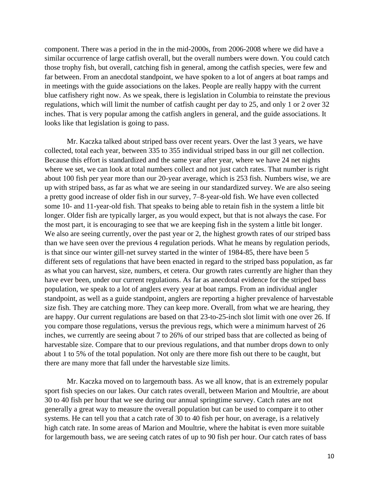component. There was a period in the in the mid-2000s, from 2006-2008 where we did have a similar occurrence of large catfish overall, but the overall numbers were down. You could catch those trophy fish, but overall, catching fish in general, among the catfish species, were few and far between. From an anecdotal standpoint, we have spoken to a lot of angers at boat ramps and in meetings with the guide associations on the lakes. People are really happy with the current blue catfishery right now. As we speak, there is legislation in Columbia to reinstate the previous regulations, which will limit the number of catfish caught per day to 25, and only 1 or 2 over 32 inches. That is very popular among the catfish anglers in general, and the guide associations. It looks like that legislation is going to pass.

Mr. Kaczka talked about striped bass over recent years. Over the last 3 years, we have collected, total each year, between 335 to 355 individual striped bass in our gill net collection. Because this effort is standardized and the same year after year, where we have 24 net nights where we set, we can look at total numbers collect and not just catch rates. That number is right about 100 fish per year more than our 20-year average, which is 253 fish. Numbers wise, we are up with striped bass, as far as what we are seeing in our standardized survey. We are also seeing a pretty good increase of older fish in our survey, 7–8-year-old fish. We have even collected some 10- and 11-year-old fish. That speaks to being able to retain fish in the system a little bit longer. Older fish are typically larger, as you would expect, but that is not always the case. For the most part, it is encouraging to see that we are keeping fish in the system a little bit longer. We also are seeing currently, over the past year or 2, the highest growth rates of our striped bass than we have seen over the previous 4 regulation periods. What he means by regulation periods, is that since our winter gill-net survey started in the winter of 1984-85, there have been 5 different sets of regulations that have been enacted in regard to the striped bass population, as far as what you can harvest, size, numbers, et cetera. Our growth rates currently are higher than they have ever been, under our current regulations. As far as anecdotal evidence for the striped bass population, we speak to a lot of anglers every year at boat ramps. From an individual angler standpoint, as well as a guide standpoint, anglers are reporting a higher prevalence of harvestable size fish. They are catching more. They can keep more. Overall, from what we are hearing, they are happy. Our current regulations are based on that 23-to-25-inch slot limit with one over 26. If you compare those regulations, versus the previous regs, which were a minimum harvest of 26 inches, we currently are seeing about 7 to 26% of our striped bass that are collected as being of harvestable size. Compare that to our previous regulations, and that number drops down to only about 1 to 5% of the total population. Not only are there more fish out there to be caught, but there are many more that fall under the harvestable size limits.

Mr. Kaczka moved on to largemouth bass. As we all know, that is an extremely popular sport fish species on our lakes. Our catch rates overall, between Marion and Moultrie, are about 30 to 40 fish per hour that we see during our annual springtime survey. Catch rates are not generally a great way to measure the overall population but can be used to compare it to other systems. He can tell you that a catch rate of 30 to 40 fish per hour, on average, is a relatively high catch rate. In some areas of Marion and Moultrie, where the habitat is even more suitable for largemouth bass, we are seeing catch rates of up to 90 fish per hour. Our catch rates of bass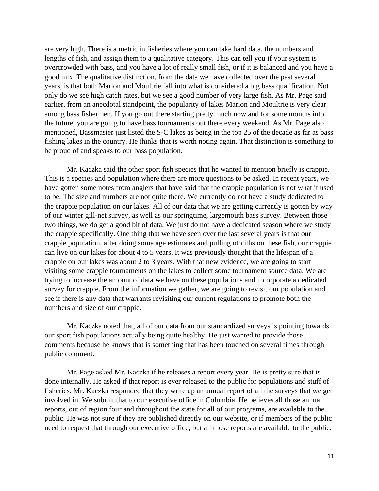are very high. There is a metric in fisheries where you can take hard data, the numbers and lengths of fish, and assign them to a qualitative category. This can tell you if your system is overcrowded with bass, and you have a lot of really small fish, or if it is balanced and you have a good mix. The qualitative distinction, from the data we have collected over the past several years, is that both Marion and Moultrie fall into what is considered a big bass qualification. Not only do we see high catch rates, but we see a good number of very large fish. As Mr. Page said earlier, from an anecdotal standpoint, the popularity of lakes Marion and Moultrie is very clear among bass fishermen. If you go out there starting pretty much now and for some months into the future, you are going to have bass tournaments out there every weekend. As Mr. Page also mentioned, Bassmaster just listed the S-C lakes as being in the top 25 of the decade as far as bass fishing lakes in the country. He thinks that is worth noting again. That distinction is something to be proud of and speaks to our bass population.

Mr. Kaczka said the other sport fish species that he wanted to mention briefly is crappie. This is a species and population where there are more questions to be asked. In recent years, we have gotten some notes from anglers that have said that the crappie population is not what it used to be. The size and numbers are not quite there. We currently do not have a study dedicated to the crappie population on our lakes. All of our data that we are getting currently is gotten by way of our winter gill-net survey, as well as our springtime, largemouth bass survey. Between those two things, we do get a good bit of data. We just do not have a dedicated season where we study the crappie specifically. One thing that we have seen over the last several years is that our crappie population, after doing some age estimates and pulling otoliths on these fish, our crappie can live on our lakes for about 4 to 5 years. It was previously thought that the lifespan of a crappie on our lakes was about 2 to 3 years. With that new evidence, we are going to start visiting some crappie tournaments on the lakes to collect some tournament source data. We are trying to increase the amount of data we have on these populations and incorporate a dedicated survey for crappie. From the information we gather, we are going to revisit our population and see if there is any data that warrants revisiting our current regulations to promote both the numbers and size of our crappie.

Mr. Kaczka noted that, all of our data from our standardized surveys is pointing towards our sport fish populations actually being quite healthy. He just wanted to provide those comments because he knows that is something that has been touched on several times through public comment.

Mr. Page asked Mr. Kaczka if he releases a report every year. He is pretty sure that is done internally. He asked if that report is ever released to the public for populations and stuff of fisheries. Mr. Kaczka responded that they write up an annual report of all the surveys that we get involved in. We submit that to our executive office in Columbia. He believes all those annual reports, out of region four and throughout the state for all of our programs, are available to the public. He was not sure if they are published directly on our website, or if members of the public need to request that through our executive office, but all those reports are available to the public.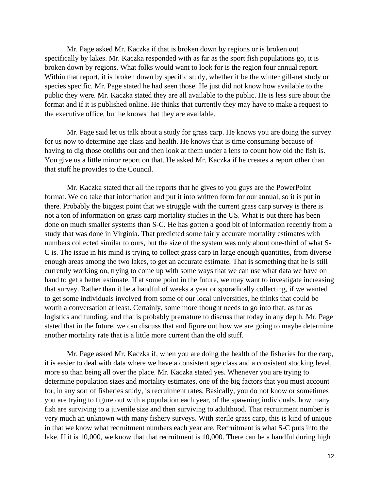Mr. Page asked Mr. Kaczka if that is broken down by regions or is broken out specifically by lakes. Mr. Kaczka responded with as far as the sport fish populations go, it is broken down by regions. What folks would want to look for is the region four annual report. Within that report, it is broken down by specific study, whether it be the winter gill-net study or species specific. Mr. Page stated he had seen those. He just did not know how available to the public they were. Mr. Kaczka stated they are all available to the public. He is less sure about the format and if it is published online. He thinks that currently they may have to make a request to the executive office, but he knows that they are available.

Mr. Page said let us talk about a study for grass carp. He knows you are doing the survey for us now to determine age class and health. He knows that is time consuming because of having to dig those otoliths out and then look at them under a lens to count how old the fish is. You give us a little minor report on that. He asked Mr. Kaczka if he creates a report other than that stuff he provides to the Council.

Mr. Kaczka stated that all the reports that he gives to you guys are the PowerPoint format. We do take that information and put it into written form for our annual, so it is put in there. Probably the biggest point that we struggle with the current grass carp survey is there is not a ton of information on grass carp mortality studies in the US. What is out there has been done on much smaller systems than S-C. He has gotten a good bit of information recently from a study that was done in Virginia. That predicted some fairly accurate mortality estimates with numbers collected similar to ours, but the size of the system was only about one-third of what S-C is. The issue in his mind is trying to collect grass carp in large enough quantities, from diverse enough areas among the two lakes, to get an accurate estimate. That is something that he is still currently working on, trying to come up with some ways that we can use what data we have on hand to get a better estimate. If at some point in the future, we may want to investigate increasing that survey. Rather than it be a handful of weeks a year or sporadically collecting, if we wanted to get some individuals involved from some of our local universities, he thinks that could be worth a conversation at least. Certainly, some more thought needs to go into that, as far as logistics and funding, and that is probably premature to discuss that today in any depth. Mr. Page stated that in the future, we can discuss that and figure out how we are going to maybe determine another mortality rate that is a little more current than the old stuff.

Mr. Page asked Mr. Kaczka if, when you are doing the health of the fisheries for the carp, it is easier to deal with data where we have a consistent age class and a consistent stocking level, more so than being all over the place. Mr. Kaczka stated yes. Whenever you are trying to determine population sizes and mortality estimates, one of the big factors that you must account for, in any sort of fisheries study, is recruitment rates. Basically, you do not know or sometimes you are trying to figure out with a population each year, of the spawning individuals, how many fish are surviving to a juvenile size and then surviving to adulthood. That recruitment number is very much an unknown with many fishery surveys. With sterile grass carp, this is kind of unique in that we know what recruitment numbers each year are. Recruitment is what S-C puts into the lake. If it is 10,000, we know that that recruitment is 10,000. There can be a handful during high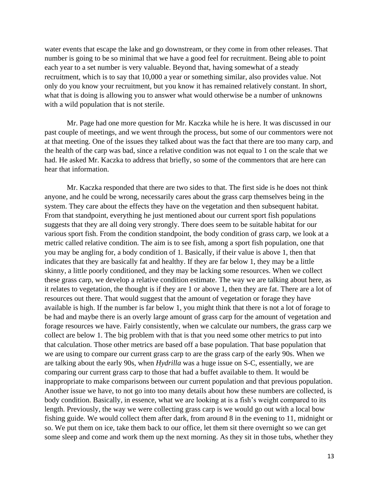water events that escape the lake and go downstream, or they come in from other releases. That number is going to be so minimal that we have a good feel for recruitment. Being able to point each year to a set number is very valuable. Beyond that, having somewhat of a steady recruitment, which is to say that 10,000 a year or something similar, also provides value. Not only do you know your recruitment, but you know it has remained relatively constant. In short, what that is doing is allowing you to answer what would otherwise be a number of unknowns with a wild population that is not sterile.

Mr. Page had one more question for Mr. Kaczka while he is here. It was discussed in our past couple of meetings, and we went through the process, but some of our commentors were not at that meeting. One of the issues they talked about was the fact that there are too many carp, and the health of the carp was bad, since a relative condition was not equal to 1 on the scale that we had. He asked Mr. Kaczka to address that briefly, so some of the commentors that are here can hear that information.

Mr. Kaczka responded that there are two sides to that. The first side is he does not think anyone, and he could be wrong, necessarily cares about the grass carp themselves being in the system. They care about the effects they have on the vegetation and then subsequent habitat. From that standpoint, everything he just mentioned about our current sport fish populations suggests that they are all doing very strongly. There does seem to be suitable habitat for our various sport fish. From the condition standpoint, the body condition of grass carp, we look at a metric called relative condition. The aim is to see fish, among a sport fish population, one that you may be angling for, a body condition of 1. Basically, if their value is above 1, then that indicates that they are basically fat and healthy. If they are far below 1, they may be a little skinny, a little poorly conditioned, and they may be lacking some resources. When we collect these grass carp, we develop a relative condition estimate. The way we are talking about here, as it relates to vegetation, the thought is if they are 1 or above 1, then they are fat. There are a lot of resources out there. That would suggest that the amount of vegetation or forage they have available is high. If the number is far below 1, you might think that there is not a lot of forage to be had and maybe there is an overly large amount of grass carp for the amount of vegetation and forage resources we have. Fairly consistently, when we calculate our numbers, the grass carp we collect are below 1. The big problem with that is that you need some other metrics to put into that calculation. Those other metrics are based off a base population. That base population that we are using to compare our current grass carp to are the grass carp of the early 90s. When we are talking about the early 90s, when *Hydrilla* was a huge issue on S-C, essentially, we are comparing our current grass carp to those that had a buffet available to them. It would be inappropriate to make comparisons between our current population and that previous population. Another issue we have, to not go into too many details about how these numbers are collected, is body condition. Basically, in essence, what we are looking at is a fish's weight compared to its length. Previously, the way we were collecting grass carp is we would go out with a local bow fishing guide. We would collect them after dark, from around 8 in the evening to 11, midnight or so. We put them on ice, take them back to our office, let them sit there overnight so we can get some sleep and come and work them up the next morning. As they sit in those tubs, whether they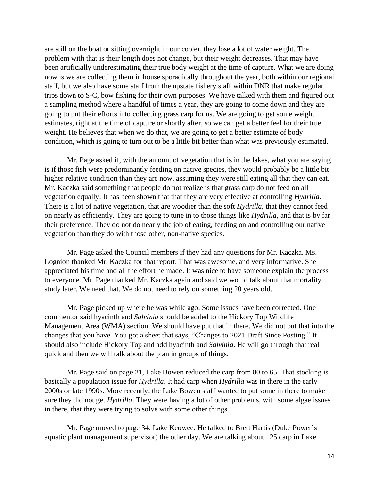are still on the boat or sitting overnight in our cooler, they lose a lot of water weight. The problem with that is their length does not change, but their weight decreases. That may have been artificially underestimating their true body weight at the time of capture. What we are doing now is we are collecting them in house sporadically throughout the year, both within our regional staff, but we also have some staff from the upstate fishery staff within DNR that make regular trips down to S-C, bow fishing for their own purposes. We have talked with them and figured out a sampling method where a handful of times a year, they are going to come down and they are going to put their efforts into collecting grass carp for us. We are going to get some weight estimates, right at the time of capture or shortly after, so we can get a better feel for their true weight. He believes that when we do that, we are going to get a better estimate of body condition, which is going to turn out to be a little bit better than what was previously estimated.

Mr. Page asked if, with the amount of vegetation that is in the lakes, what you are saying is if those fish were predominantly feeding on native species, they would probably be a little bit higher relative condition than they are now, assuming they were still eating all that they can eat. Mr. Kaczka said something that people do not realize is that grass carp do not feed on all vegetation equally. It has been shown that that they are very effective at controlling *Hydrilla*. There is a lot of native vegetation, that are woodier than the soft *Hydrilla*, that they cannot feed on nearly as efficiently. They are going to tune in to those things like *Hydrilla*, and that is by far their preference. They do not do nearly the job of eating, feeding on and controlling our native vegetation than they do with those other, non-native species.

Mr. Page asked the Council members if they had any questions for Mr. Kaczka. Ms. Lognion thanked Mr. Kaczka for that report. That was awesome, and very informative. She appreciated his time and all the effort he made. It was nice to have someone explain the process to everyone. Mr. Page thanked Mr. Kaczka again and said we would talk about that mortality study later. We need that. We do not need to rely on something 20 years old.

Mr. Page picked up where he was while ago. Some issues have been corrected. One commentor said hyacinth and *Salvinia* should be added to the Hickory Top Wildlife Management Area (WMA) section. We should have put that in there. We did not put that into the changes that you have. You got a sheet that says, "Changes to 2021 Draft Since Posting." It should also include Hickory Top and add hyacinth and *Salvinia*. He will go through that real quick and then we will talk about the plan in groups of things.

Mr. Page said on page 21, Lake Bowen reduced the carp from 80 to 65. That stocking is basically a population issue for *Hydrilla*. It had carp when *Hydrilla* was in there in the early 2000s or late 1990s. More recently, the Lake Bowen staff wanted to put some in there to make sure they did not get *Hydrilla*. They were having a lot of other problems, with some algae issues in there, that they were trying to solve with some other things.

Mr. Page moved to page 34, Lake Keowee. He talked to Brett Hartis (Duke Power's aquatic plant management supervisor) the other day. We are talking about 125 carp in Lake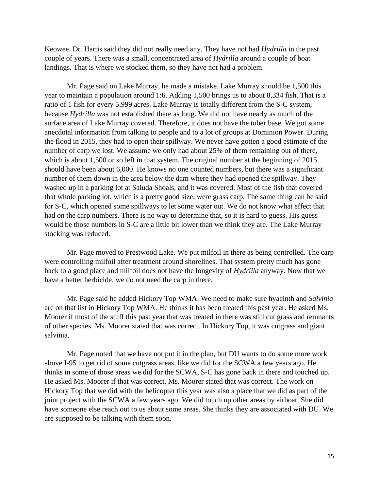Keowee. Dr. Hartis said they did not really need any. They have not had *Hydrilla* in the past couple of years. There was a small, concentrated area of *Hydrilla* around a couple of boat landings. That is where we stocked them, so they have not had a problem.

Mr. Page said on Lake Murray, he made a mistake. Lake Murray should be 1,500 this year to maintain a population around 1:6. Adding 1,500 brings us to about 8,334 fish. That is a ratio of 1 fish for every 5.999 acres. Lake Murray is totally different from the S-C system, because *Hydrilla* was not established there as long. We did not have nearly as much of the surface area of Lake Murray covered. Therefore, it does not have the tuber base. We got some anecdotal information from talking to people and to a lot of groups at Dominion Power. During the flood in 2015, they had to open their spillway. We never have gotten a good estimate of the number of carp we lost. We assume we only had about 25% of them remaining out of there, which is about 1,500 or so left in that system. The original number at the beginning of 2015 should have been about 6,000. He knows no one counted numbers, but there was a significant number of them down in the area below the dam where they had opened the spillway. They washed up in a parking lot at Saluda Shoals, and it was covered. Most of the fish that covered that whole parking lot, which is a pretty good size, were grass carp. The same thing can be said for S-C, which opened some spillways to let some water out. We do not know what effect that had on the carp numbers. There is no way to determine that, so it is hard to guess. His guess would be those numbers in S-C are a little bit lower than we think they are. The Lake Murray stocking was reduced.

Mr. Page moved to Prestwood Lake. We put milfoil in there as being controlled. The carp were controlling milfoil after treatment around shorelines. That system pretty much has gone back to a good place and milfoil does not have the longevity of *Hydrilla* anyway. Now that we have a better herbicide, we do not need the carp in there.

Mr. Page said he added Hickory Top WMA. We need to make sure hyacinth and *Salvinia* are on that list in Hickory Top WMA. He thinks it has been treated this past year. He asked Ms. Moorer if most of the stuff this past year that was treated in there was still cut grass and remnants of other species. Ms. Moorer stated that was correct. In Hickory Top, it was cutgrass and giant salvinia.

Mr. Page noted that we have not put it in the plan, but DU wants to do some more work above I-95 to get rid of some cutgrass areas, like we did for the SCWA a few years ago. He thinks in some of those areas we did for the SCWA, S-C has gone back in there and touched up. He asked Ms. Moorer if that was correct. Ms. Moorer stated that was correct. The work on Hickory Top that we did with the helicopter this year was also a place that we did as part of the joint project with the SCWA a few years ago. We did touch up other areas by airboat. She did have someone else reach out to us about some areas. She thinks they are associated with DU. We are supposed to be talking with them soon.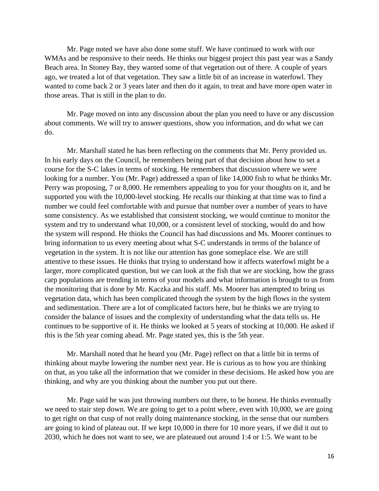Mr. Page noted we have also done some stuff. We have continued to work with our WMAs and be responsive to their needs. He thinks our biggest project this past year was a Sandy Beach area. In Stoney Bay, they wanted some of that vegetation out of there. A couple of years ago, we treated a lot of that vegetation. They saw a little bit of an increase in waterfowl. They wanted to come back 2 or 3 years later and then do it again, to treat and have more open water in those areas. That is still in the plan to do.

Mr. Page moved on into any discussion about the plan you need to have or any discussion about comments. We will try to answer questions, show you information, and do what we can do.

Mr. Marshall stated he has been reflecting on the comments that Mr. Perry provided us. In his early days on the Council, he remembers being part of that decision about how to set a course for the S-C lakes in terms of stocking. He remembers that discussion where we were looking for a number. You (Mr. Page) addressed a span of like 14,000 fish to what he thinks Mr. Perry was proposing, 7 or 8,000. He remembers appealing to you for your thoughts on it, and he supported you with the 10,000-level stocking. He recalls our thinking at that time was to find a number we could feel comfortable with and pursue that number over a number of years to have some consistency. As we established that consistent stocking, we would continue to monitor the system and try to understand what 10,000, or a consistent level of stocking, would do and how the system will respond. He thinks the Council has had discussions and Ms. Moorer continues to bring information to us every meeting about what S-C understands in terms of the balance of vegetation in the system. It is not like our attention has gone someplace else. We are still attentive to these issues. He thinks that trying to understand how it affects waterfowl might be a larger, more complicated question, but we can look at the fish that we are stocking, how the grass carp populations are trending in terms of your models and what information is brought to us from the monitoring that is done by Mr. Kaczka and his staff. Ms. Moorer has attempted to bring us vegetation data, which has been complicated through the system by the high flows in the system and sedimentation. There are a lot of complicated factors here, but he thinks we are trying to consider the balance of issues and the complexity of understanding what the data tells us. He continues to be supportive of it. He thinks we looked at 5 years of stocking at 10,000. He asked if this is the 5th year coming ahead. Mr. Page stated yes, this is the 5th year.

Mr. Marshall noted that he heard you (Mr. Page) reflect on that a little bit in terms of thinking about maybe lowering the number next year. He is curious as to how you are thinking on that, as you take all the information that we consider in these decisions. He asked how you are thinking, and why are you thinking about the number you put out there.

Mr. Page said he was just throwing numbers out there, to be honest. He thinks eventually we need to stair step down. We are going to get to a point where, even with 10,000, we are going to get right on that cusp of not really doing maintenance stocking, in the sense that our numbers are going to kind of plateau out. If we kept 10,000 in there for 10 more years, if we did it out to 2030, which he does not want to see, we are plateaued out around 1:4 or 1:5. We want to be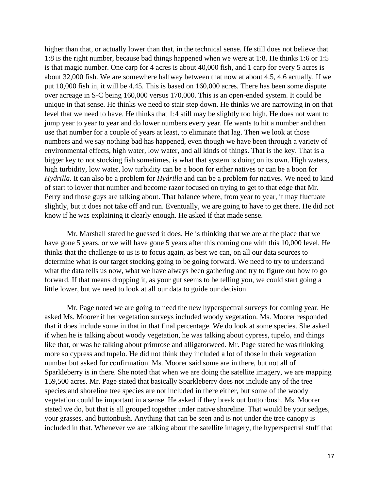higher than that, or actually lower than that, in the technical sense. He still does not believe that 1:8 is the right number, because bad things happened when we were at 1:8. He thinks 1:6 or 1:5 is that magic number. One carp for 4 acres is about 40,000 fish, and 1 carp for every 5 acres is about 32,000 fish. We are somewhere halfway between that now at about 4.5, 4.6 actually. If we put 10,000 fish in, it will be 4.45. This is based on 160,000 acres. There has been some dispute over acreage in S-C being 160,000 versus 170,000. This is an open-ended system. It could be unique in that sense. He thinks we need to stair step down. He thinks we are narrowing in on that level that we need to have. He thinks that 1:4 still may be slightly too high. He does not want to jump year to year to year and do lower numbers every year. He wants to hit a number and then use that number for a couple of years at least, to eliminate that lag. Then we look at those numbers and we say nothing bad has happened, even though we have been through a variety of environmental effects, high water, low water, and all kinds of things. That is the key. That is a bigger key to not stocking fish sometimes, is what that system is doing on its own. High waters, high turbidity, low water, low turbidity can be a boon for either natives or can be a boon for *Hydrilla*. It can also be a problem for *Hydrilla* and can be a problem for natives. We need to kind of start to lower that number and become razor focused on trying to get to that edge that Mr. Perry and those guys are talking about. That balance where, from year to year, it may fluctuate slightly, but it does not take off and run. Eventually, we are going to have to get there. He did not know if he was explaining it clearly enough. He asked if that made sense.

Mr. Marshall stated he guessed it does. He is thinking that we are at the place that we have gone 5 years, or we will have gone 5 years after this coming one with this 10,000 level. He thinks that the challenge to us is to focus again, as best we can, on all our data sources to determine what is our target stocking going to be going forward. We need to try to understand what the data tells us now, what we have always been gathering and try to figure out how to go forward. If that means dropping it, as your gut seems to be telling you, we could start going a little lower, but we need to look at all our data to guide our decision.

Mr. Page noted we are going to need the new hyperspectral surveys for coming year. He asked Ms. Moorer if her vegetation surveys included woody vegetation. Ms. Moorer responded that it does include some in that in that final percentage. We do look at some species. She asked if when he is talking about woody vegetation, he was talking about cypress, tupelo, and things like that, or was he talking about primrose and alligatorweed. Mr. Page stated he was thinking more so cypress and tupelo. He did not think they included a lot of those in their vegetation number but asked for confirmation. Ms. Moorer said some are in there, but not all of Sparkleberry is in there. She noted that when we are doing the satellite imagery, we are mapping 159,500 acres. Mr. Page stated that basically Sparkleberry does not include any of the tree species and shoreline tree species are not included in there either, but some of the woody vegetation could be important in a sense. He asked if they break out buttonbush. Ms. Moorer stated we do, but that is all grouped together under native shoreline. That would be your sedges, your grasses, and buttonbush. Anything that can be seen and is not under the tree canopy is included in that. Whenever we are talking about the satellite imagery, the hyperspectral stuff that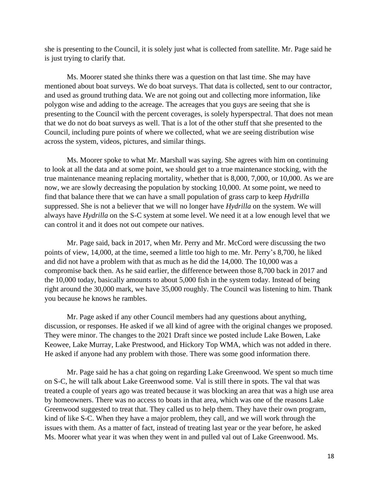she is presenting to the Council, it is solely just what is collected from satellite. Mr. Page said he is just trying to clarify that.

Ms. Moorer stated she thinks there was a question on that last time. She may have mentioned about boat surveys. We do boat surveys. That data is collected, sent to our contractor, and used as ground truthing data. We are not going out and collecting more information, like polygon wise and adding to the acreage. The acreages that you guys are seeing that she is presenting to the Council with the percent coverages, is solely hyperspectral. That does not mean that we do not do boat surveys as well. That is a lot of the other stuff that she presented to the Council, including pure points of where we collected, what we are seeing distribution wise across the system, videos, pictures, and similar things.

Ms. Moorer spoke to what Mr. Marshall was saying. She agrees with him on continuing to look at all the data and at some point, we should get to a true maintenance stocking, with the true maintenance meaning replacing mortality, whether that is 8,000, 7,000, or 10,000. As we are now, we are slowly decreasing the population by stocking 10,000. At some point, we need to find that balance there that we can have a small population of grass carp to keep *Hydrilla* suppressed. She is not a believer that we will no longer have *Hydrilla* on the system. We will always have *Hydrilla* on the S-C system at some level. We need it at a low enough level that we can control it and it does not out compete our natives.

Mr. Page said, back in 2017, when Mr. Perry and Mr. McCord were discussing the two points of view, 14,000, at the time, seemed a little too high to me. Mr. Perry's 8,700, he liked and did not have a problem with that as much as he did the 14,000. The 10,000 was a compromise back then. As he said earlier, the difference between those 8,700 back in 2017 and the 10,000 today, basically amounts to about 5,000 fish in the system today. Instead of being right around the 30,000 mark, we have 35,000 roughly. The Council was listening to him. Thank you because he knows he rambles.

Mr. Page asked if any other Council members had any questions about anything, discussion, or responses. He asked if we all kind of agree with the original changes we proposed. They were minor. The changes to the 2021 Draft since we posted include Lake Bowen, Lake Keowee, Lake Murray, Lake Prestwood, and Hickory Top WMA, which was not added in there. He asked if anyone had any problem with those. There was some good information there.

Mr. Page said he has a chat going on regarding Lake Greenwood. We spent so much time on S-C, he will talk about Lake Greenwood some. Val is still there in spots. The val that was treated a couple of years ago was treated because it was blocking an area that was a high use area by homeowners. There was no access to boats in that area, which was one of the reasons Lake Greenwood suggested to treat that. They called us to help them. They have their own program, kind of like S-C. When they have a major problem, they call, and we will work through the issues with them. As a matter of fact, instead of treating last year or the year before, he asked Ms. Moorer what year it was when they went in and pulled val out of Lake Greenwood. Ms.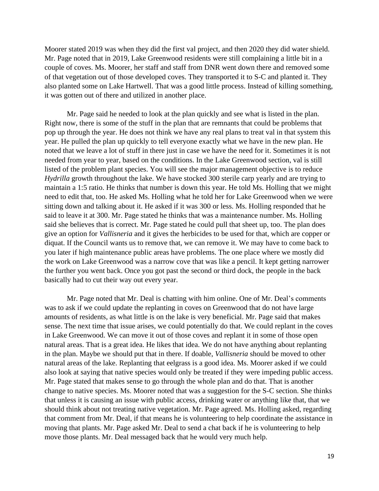Moorer stated 2019 was when they did the first val project, and then 2020 they did water shield. Mr. Page noted that in 2019, Lake Greenwood residents were still complaining a little bit in a couple of coves. Ms. Moorer, her staff and staff from DNR went down there and removed some of that vegetation out of those developed coves. They transported it to S-C and planted it. They also planted some on Lake Hartwell. That was a good little process. Instead of killing something, it was gotten out of there and utilized in another place.

Mr. Page said he needed to look at the plan quickly and see what is listed in the plan. Right now, there is some of the stuff in the plan that are remnants that could be problems that pop up through the year. He does not think we have any real plans to treat val in that system this year. He pulled the plan up quickly to tell everyone exactly what we have in the new plan. He noted that we leave a lot of stuff in there just in case we have the need for it. Sometimes it is not needed from year to year, based on the conditions. In the Lake Greenwood section, val is still listed of the problem plant species. You will see the major management objective is to reduce *Hydrilla* growth throughout the lake. We have stocked 300 sterile carp yearly and are trying to maintain a 1:5 ratio. He thinks that number is down this year. He told Ms. Holling that we might need to edit that, too. He asked Ms. Holling what he told her for Lake Greenwood when we were sitting down and talking about it. He asked if it was 300 or less. Ms. Holling responded that he said to leave it at 300. Mr. Page stated he thinks that was a maintenance number. Ms. Holling said she believes that is correct. Mr. Page stated he could pull that sheet up, too. The plan does give an option for *Vallisneria* and it gives the herbicides to be used for that, which are copper or diquat. If the Council wants us to remove that, we can remove it. We may have to come back to you later if high maintenance public areas have problems. The one place where we mostly did the work on Lake Greenwood was a narrow cove that was like a pencil. It kept getting narrower the further you went back. Once you got past the second or third dock, the people in the back basically had to cut their way out every year.

Mr. Page noted that Mr. Deal is chatting with him online. One of Mr. Deal's comments was to ask if we could update the replanting in coves on Greenwood that do not have large amounts of residents, as what little is on the lake is very beneficial. Mr. Page said that makes sense. The next time that issue arises, we could potentially do that. We could replant in the coves in Lake Greenwood. We can move it out of those coves and replant it in some of those open natural areas. That is a great idea. He likes that idea. We do not have anything about replanting in the plan. Maybe we should put that in there. If doable, *Vallisneria* should be moved to other natural areas of the lake. Replanting that eelgrass is a good idea. Ms. Moorer asked if we could also look at saying that native species would only be treated if they were impeding public access. Mr. Page stated that makes sense to go through the whole plan and do that. That is another change to native species. Ms. Moorer noted that was a suggestion for the S-C section. She thinks that unless it is causing an issue with public access, drinking water or anything like that, that we should think about not treating native vegetation. Mr. Page agreed. Ms. Holling asked, regarding that comment from Mr. Deal, if that means he is volunteering to help coordinate the assistance in moving that plants. Mr. Page asked Mr. Deal to send a chat back if he is volunteering to help move those plants. Mr. Deal messaged back that he would very much help.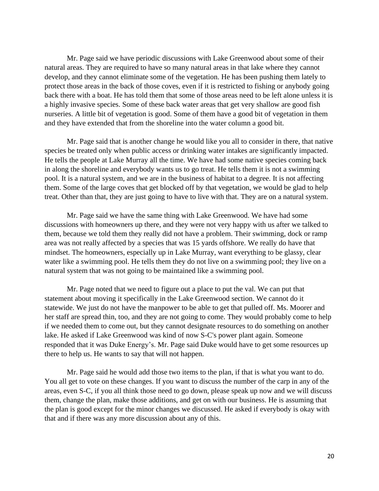Mr. Page said we have periodic discussions with Lake Greenwood about some of their natural areas. They are required to have so many natural areas in that lake where they cannot develop, and they cannot eliminate some of the vegetation. He has been pushing them lately to protect those areas in the back of those coves, even if it is restricted to fishing or anybody going back there with a boat. He has told them that some of those areas need to be left alone unless it is a highly invasive species. Some of these back water areas that get very shallow are good fish nurseries. A little bit of vegetation is good. Some of them have a good bit of vegetation in them and they have extended that from the shoreline into the water column a good bit.

Mr. Page said that is another change he would like you all to consider in there, that native species be treated only when public access or drinking water intakes are significantly impacted. He tells the people at Lake Murray all the time. We have had some native species coming back in along the shoreline and everybody wants us to go treat. He tells them it is not a swimming pool. It is a natural system, and we are in the business of habitat to a degree. It is not affecting them. Some of the large coves that get blocked off by that vegetation, we would be glad to help treat. Other than that, they are just going to have to live with that. They are on a natural system.

Mr. Page said we have the same thing with Lake Greenwood. We have had some discussions with homeowners up there, and they were not very happy with us after we talked to them, because we told them they really did not have a problem. Their swimming, dock or ramp area was not really affected by a species that was 15 yards offshore. We really do have that mindset. The homeowners, especially up in Lake Murray, want everything to be glassy, clear water like a swimming pool. He tells them they do not live on a swimming pool; they live on a natural system that was not going to be maintained like a swimming pool.

Mr. Page noted that we need to figure out a place to put the val. We can put that statement about moving it specifically in the Lake Greenwood section. We cannot do it statewide. We just do not have the manpower to be able to get that pulled off. Ms. Moorer and her staff are spread thin, too, and they are not going to come. They would probably come to help if we needed them to come out, but they cannot designate resources to do something on another lake. He asked if Lake Greenwood was kind of now S-C's power plant again. Someone responded that it was Duke Energy's. Mr. Page said Duke would have to get some resources up there to help us. He wants to say that will not happen.

Mr. Page said he would add those two items to the plan, if that is what you want to do. You all get to vote on these changes. If you want to discuss the number of the carp in any of the areas, even S-C, if you all think those need to go down, please speak up now and we will discuss them, change the plan, make those additions, and get on with our business. He is assuming that the plan is good except for the minor changes we discussed. He asked if everybody is okay with that and if there was any more discussion about any of this.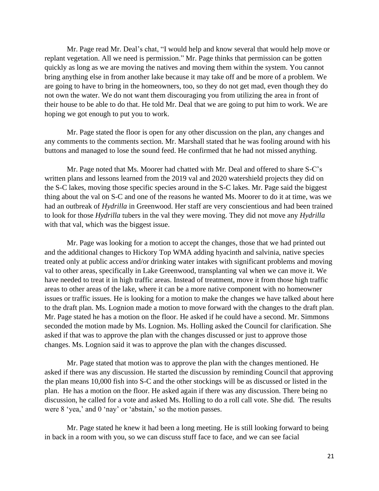Mr. Page read Mr. Deal's chat, "I would help and know several that would help move or replant vegetation. All we need is permission." Mr. Page thinks that permission can be gotten quickly as long as we are moving the natives and moving them within the system. You cannot bring anything else in from another lake because it may take off and be more of a problem. We are going to have to bring in the homeowners, too, so they do not get mad, even though they do not own the water. We do not want them discouraging you from utilizing the area in front of their house to be able to do that. He told Mr. Deal that we are going to put him to work. We are hoping we got enough to put you to work.

Mr. Page stated the floor is open for any other discussion on the plan, any changes and any comments to the comments section. Mr. Marshall stated that he was fooling around with his buttons and managed to lose the sound feed. He confirmed that he had not missed anything.

Mr. Page noted that Ms. Moorer had chatted with Mr. Deal and offered to share S-C's written plans and lessons learned from the 2019 val and 2020 watershield projects they did on the S-C lakes, moving those specific species around in the S-C lakes. Mr. Page said the biggest thing about the val on S-C and one of the reasons he wanted Ms. Moorer to do it at time, was we had an outbreak of *Hydrilla* in Greenwood. Her staff are very conscientious and had been trained to look for those *Hydrilla* tubers in the val they were moving. They did not move any *Hydrilla* with that val, which was the biggest issue.

Mr. Page was looking for a motion to accept the changes, those that we had printed out and the additional changes to Hickory Top WMA adding hyacinth and salvinia, native species treated only at public access and/or drinking water intakes with significant problems and moving val to other areas, specifically in Lake Greenwood, transplanting val when we can move it. We have needed to treat it in high traffic areas. Instead of treatment, move it from those high traffic areas to other areas of the lake, where it can be a more native component with no homeowner issues or traffic issues. He is looking for a motion to make the changes we have talked about here to the draft plan. Ms. Lognion made a motion to move forward with the changes to the draft plan. Mr. Page stated he has a motion on the floor. He asked if he could have a second. Mr. Simmons seconded the motion made by Ms. Lognion. Ms. Holling asked the Council for clarification. She asked if that was to approve the plan with the changes discussed or just to approve those changes. Ms. Lognion said it was to approve the plan with the changes discussed.

Mr. Page stated that motion was to approve the plan with the changes mentioned. He asked if there was any discussion. He started the discussion by reminding Council that approving the plan means 10,000 fish into S-C and the other stockings will be as discussed or listed in the plan. He has a motion on the floor. He asked again if there was any discussion. There being no discussion, he called for a vote and asked Ms. Holling to do a roll call vote. She did. The results were 8 'yea,' and 0 'nay' or 'abstain,' so the motion passes.

Mr. Page stated he knew it had been a long meeting. He is still looking forward to being in back in a room with you, so we can discuss stuff face to face, and we can see facial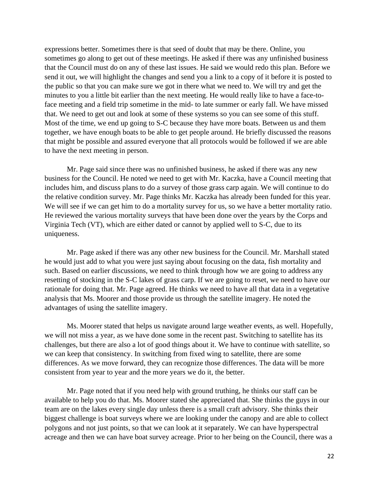expressions better. Sometimes there is that seed of doubt that may be there. Online, you sometimes go along to get out of these meetings. He asked if there was any unfinished business that the Council must do on any of these last issues. He said we would redo this plan. Before we send it out, we will highlight the changes and send you a link to a copy of it before it is posted to the public so that you can make sure we got in there what we need to. We will try and get the minutes to you a little bit earlier than the next meeting. He would really like to have a face-toface meeting and a field trip sometime in the mid- to late summer or early fall. We have missed that. We need to get out and look at some of these systems so you can see some of this stuff. Most of the time, we end up going to S-C because they have more boats. Between us and them together, we have enough boats to be able to get people around. He briefly discussed the reasons that might be possible and assured everyone that all protocols would be followed if we are able to have the next meeting in person.

Mr. Page said since there was no unfinished business, he asked if there was any new business for the Council. He noted we need to get with Mr. Kaczka, have a Council meeting that includes him, and discuss plans to do a survey of those grass carp again. We will continue to do the relative condition survey. Mr. Page thinks Mr. Kaczka has already been funded for this year. We will see if we can get him to do a mortality survey for us, so we have a better mortality ratio. He reviewed the various mortality surveys that have been done over the years by the Corps and Virginia Tech (VT), which are either dated or cannot by applied well to S-C, due to its uniqueness.

Mr. Page asked if there was any other new business for the Council. Mr. Marshall stated he would just add to what you were just saying about focusing on the data, fish mortality and such. Based on earlier discussions, we need to think through how we are going to address any resetting of stocking in the S-C lakes of grass carp. If we are going to reset, we need to have our rationale for doing that. Mr. Page agreed. He thinks we need to have all that data in a vegetative analysis that Ms. Moorer and those provide us through the satellite imagery. He noted the advantages of using the satellite imagery.

Ms. Moorer stated that helps us navigate around large weather events, as well. Hopefully, we will not miss a year, as we have done some in the recent past. Switching to satellite has its challenges, but there are also a lot of good things about it. We have to continue with satellite, so we can keep that consistency. In switching from fixed wing to satellite, there are some differences. As we move forward, they can recognize those differences. The data will be more consistent from year to year and the more years we do it, the better.

Mr. Page noted that if you need help with ground truthing, he thinks our staff can be available to help you do that. Ms. Moorer stated she appreciated that. She thinks the guys in our team are on the lakes every single day unless there is a small craft advisory. She thinks their biggest challenge is boat surveys where we are looking under the canopy and are able to collect polygons and not just points, so that we can look at it separately. We can have hyperspectral acreage and then we can have boat survey acreage. Prior to her being on the Council, there was a